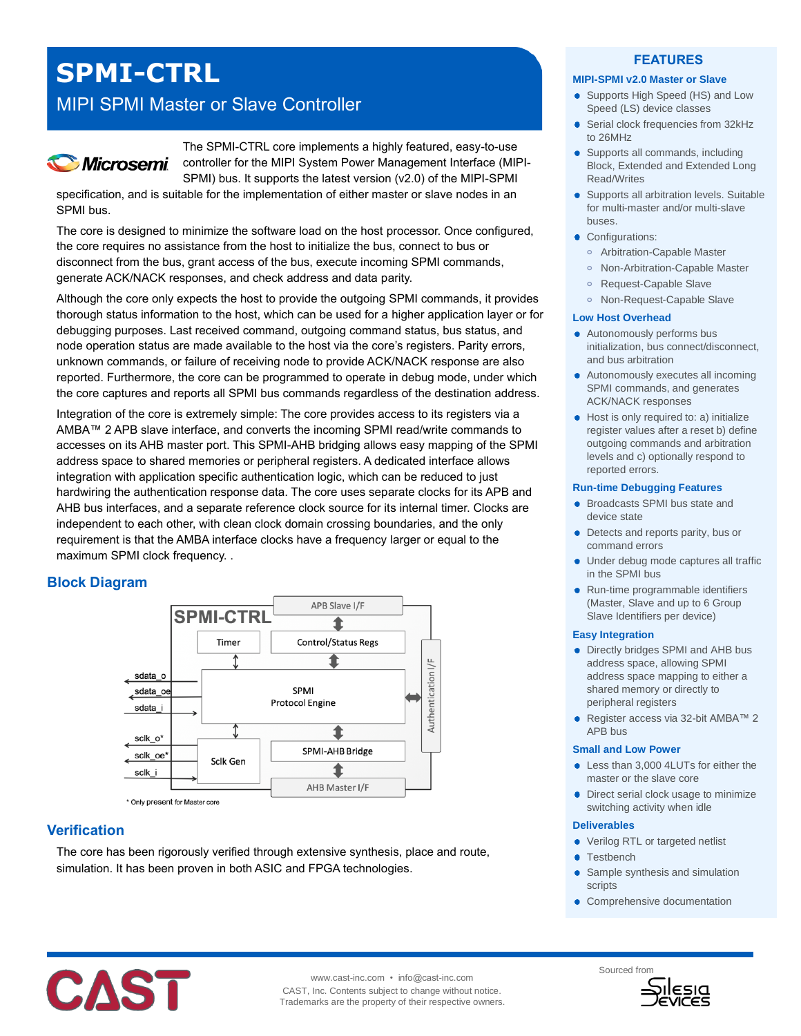# **SPMI-CTRL**

## MIPI SPMI Master or Slave Controller



The SPMI-CTRL core implements a highly featured, easy-to-use controller for the MIPI System Power Management Interface (MIPI-SPMI) bus. It supports the latest version (v2.0) of the MIPI-SPMI

specification, and is suitable for the implementation of either master or slave nodes in an SPMI bus.

The core is designed to minimize the software load on the host processor. Once configured, the core requires no assistance from the host to initialize the bus, connect to bus or disconnect from the bus, grant access of the bus, execute incoming SPMI commands, generate ACK/NACK responses, and check address and data parity.

Although the core only expects the host to provide the outgoing SPMI commands, it provides thorough status information to the host, which can be used for a higher application layer or for debugging purposes. Last received command, outgoing command status, bus status, and node operation status are made available to the host via the core's registers. Parity errors, unknown commands, or failure of receiving node to provide ACK/NACK response are also reported. Furthermore, the core can be programmed to operate in debug mode, under which the core captures and reports all SPMI bus commands regardless of the destination address.

Integration of the core is extremely simple: The core provides access to its registers via a AMBA™ 2 APB slave interface, and converts the incoming SPMI read/write commands to accesses on its AHB master port. This SPMI-AHB bridging allows easy mapping of the SPMI address space to shared memories or peripheral registers. A dedicated interface allows integration with application specific authentication logic, which can be reduced to just hardwiring the authentication response data. The core uses separate clocks for its APB and AHB bus interfaces, and a separate reference clock source for its internal timer. Clocks are independent to each other, with clean clock domain crossing boundaries, and the only requirement is that the AMBA interface clocks have a frequency larger or equal to the maximum SPMI clock frequency. .

## **Block Diagram**



## **Verification**

The core has been rigorously verified through extensive synthesis, place and route, simulation. It has been proven in both ASIC and FPGA technologies.

### **FEATURES**

#### **MIPI-SPMI v2.0 Master or Slave**

- Supports High Speed (HS) and Low Speed (LS) device classes
- Serial clock frequencies from 32kHz to 26MHz
- Supports all commands, including Block, Extended and Extended Long Read/Writes
- Supports all arbitration levels. Suitable for multi-master and/or multi-slave buses.
- Configurations:
	- **o** Arbitration-Capable Master
	- **o** Non-Arbitration-Capable Master
	- **o** Request-Capable Slave
	- **o** Non-Request-Capable Slave

#### **Low Host Overhead**

- Autonomously performs bus initialization, bus connect/disconnect, and bus arbitration
- Autonomously executes all incoming SPMI commands, and generates ACK/NACK responses
- Host is only required to: a) initialize register values after a reset b) define outgoing commands and arbitration levels and c) optionally respond to reported errors.

#### **Run-time Debugging Features**

- **•** Broadcasts SPMI bus state and device state
- Detects and reports parity, bus or command errors
- Under debug mode captures all traffic in the SPMI bus
- Run-time programmable identifiers (Master, Slave and up to 6 Group Slave Identifiers per device)

#### **Easy Integration**

- Directly bridges SPMI and AHB bus address space, allowing SPMI address space mapping to either a shared memory or directly to peripheral registers
- Register access via 32-bit AMBA™ 2 APB bus

#### **Small and Low Power**

- Less than 3,000 4LUTs for either the master or the slave core
- Direct serial clock usage to minimize switching activity when idle

#### **Deliverables**

- Verilog RTL or targeted netlist
- **Testbench**
- Sample synthesis and simulation scripts
- Comprehensive documentation



www.cast-inc.com • info@cast-inc.com CAST, Inc. Contents subject to change without notice. Trademarks are the property of their respective owners.